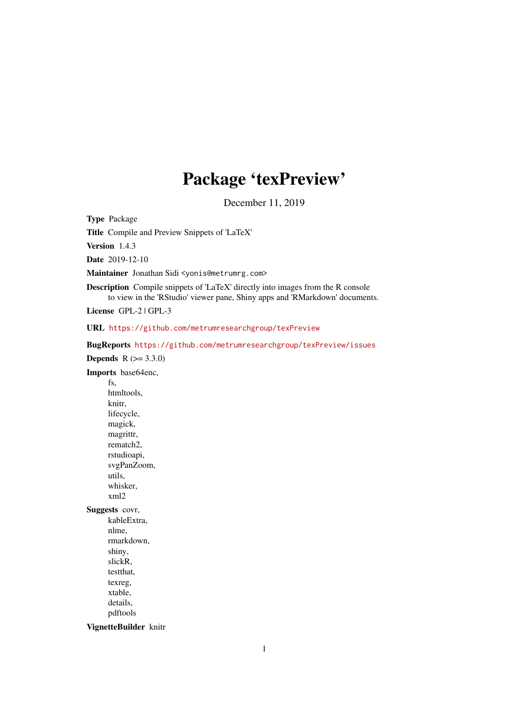# Package 'texPreview'

December 11, 2019

<span id="page-0-0"></span>Type Package

Title Compile and Preview Snippets of 'LaTeX'

Version 1.4.3

Date 2019-12-10

Maintainer Jonathan Sidi <yonis@metrumrg.com>

Description Compile snippets of 'LaTeX' directly into images from the R console to view in the 'RStudio' viewer pane, Shiny apps and 'RMarkdown' documents.

License GPL-2 | GPL-3

URL <https://github.com/metrumresearchgroup/texPreview>

BugReports <https://github.com/metrumresearchgroup/texPreview/issues>

**Depends**  $R (= 3.3.0)$ 

Imports base64enc, fs, htmltools, knitr, lifecycle, magick, magrittr, rematch2, rstudioapi, svgPanZoom, utils, whisker, xml2 Suggests covr, kableExtra,

nlme, rmarkdown, shiny, slickR, testthat, texreg, xtable, details, pdftools

VignetteBuilder knitr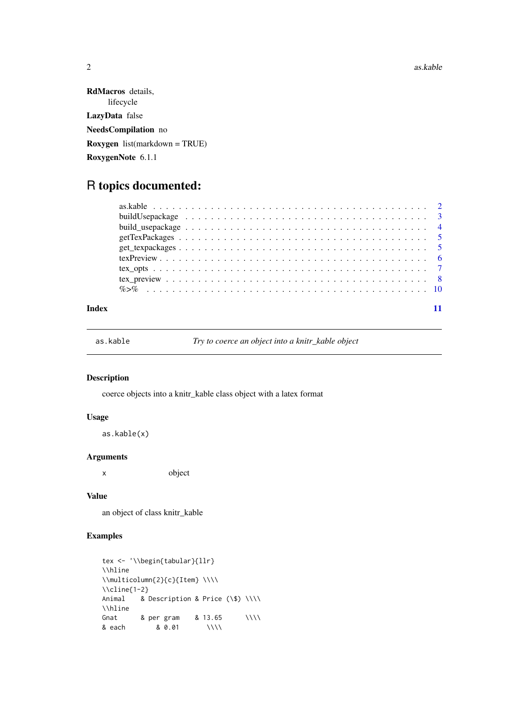2 as.kable as a set of the set of the set of the set of the set of the set of the set of the set of the set of the set of the set of the set of the set of the set of the set of the set of the set of the set of the set of t

RdMacros details, lifecycle LazyData false NeedsCompilation no Roxygen list(markdown = TRUE) RoxygenNote 6.1.1

# R topics documented:

## **Index** [11](#page-10-0)

as.kable *Try to coerce an object into a knitr\_kable object*

# Description

coerce objects into a knitr\_kable class object with a latex format

# Usage

as.kable(x)

# Arguments

x object

# Value

an object of class knitr\_kable

# Examples

```
tex <- '\\begin{tabular}{llr}
\\hline
\label{cor} $$\mathcal{L}^{c}{Item} \\\\\\\cline{1-2}
Animal & Description & Price (\$) \\\\
\\hline
Gnat & per gram \frac{1}{2} 8.13.65 \\\\
& each & 0.01 \\\\
```
<span id="page-1-0"></span>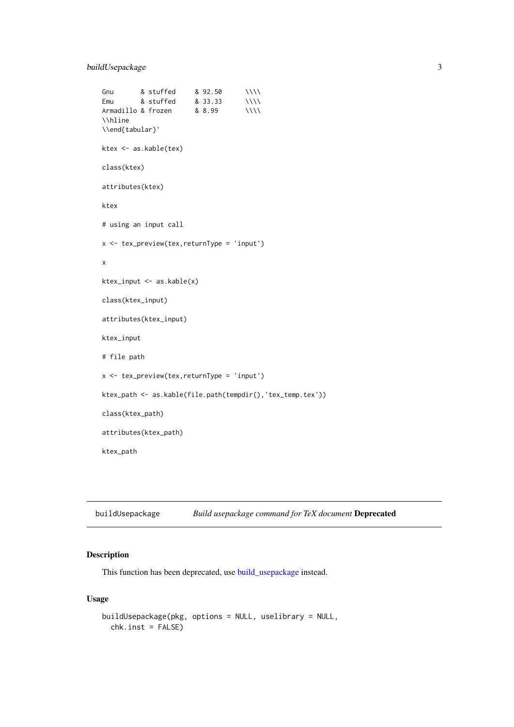<span id="page-2-0"></span>buildUsepackage 3

```
Gnu                & stuffed                      & 92.50 \\\\
Emu & stuffed & 33.33 \\\\
Armadillo & frozen & 8.99 \\\\
\\hline
\\end{tabular}'
ktex <- as.kable(tex)
class(ktex)
attributes(ktex)
ktex
# using an input call
x <- tex_preview(tex,returnType = 'input')
x
ktex_input <- as.kable(x)
class(ktex_input)
attributes(ktex_input)
ktex_input
# file path
x \le -\text{tex} tex_preview(tex, returnType = 'input')
ktex_path <- as.kable(file.path(tempdir(),'tex_temp.tex'))
class(ktex_path)
attributes(ktex_path)
ktex_path
```
buildUsepackage *Build usepackage command for TeX document* Deprecated

#### Description

This function has been deprecated, use [build\\_usepackage](#page-3-1) instead.

# Usage

```
buildUsepackage(pkg, options = NULL, uselibrary = NULL,
 chk.inst = FALSE)
```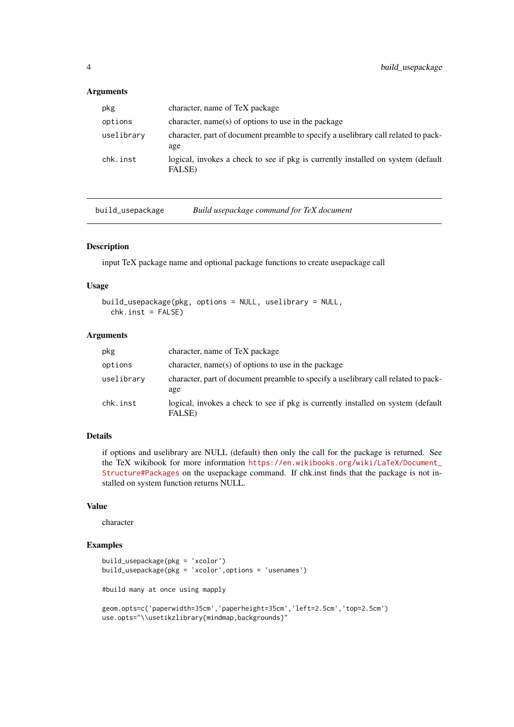# <span id="page-3-0"></span>Arguments

| pkg        | character, name of TeX package                                                             |
|------------|--------------------------------------------------------------------------------------------|
| options    | character, name(s) of options to use in the package                                        |
| uselibrary | character, part of document preamble to specify a uselibrary call related to pack-<br>age  |
| chk.inst   | logical, invokes a check to see if pkg is currently installed on system (default<br>FALSE) |

<span id="page-3-1"></span>build\_usepackage *Build usepackage command for TeX document*

#### Description

input TeX package name and optional package functions to create usepackage call

#### Usage

build\_usepackage(pkg, options = NULL, uselibrary = NULL,  $chk.inst = FALSE)$ 

# Arguments

| pkg        | character, name of TeX package                                                             |
|------------|--------------------------------------------------------------------------------------------|
| options    | character, name(s) of options to use in the package                                        |
| uselibrary | character, part of document preamble to specify a uselibrary call related to pack-<br>age  |
| chk.inst   | logical, invokes a check to see if pkg is currently installed on system (default<br>FALSE) |

#### Details

if options and uselibrary are NULL (default) then only the call for the package is returned. See the TeX wikibook for more information [https://en.wikibooks.org/wiki/LaTeX/Document\\_](https://en.wikibooks.org/wiki/LaTeX/Document_Structure#Packages) [Structure#Packages](https://en.wikibooks.org/wiki/LaTeX/Document_Structure#Packages) on the usepackage command. If chk.inst finds that the package is not installed on system function returns NULL.

# Value

character

# Examples

```
build_usepackage(pkg = 'xcolor')
build_usepackage(pkg = 'xcolor',options = 'usenames')
#build many at once using mapply
geom.opts=c('paperwidth=35cm','paperheight=35cm','left=2.5cm','top=2.5cm')
```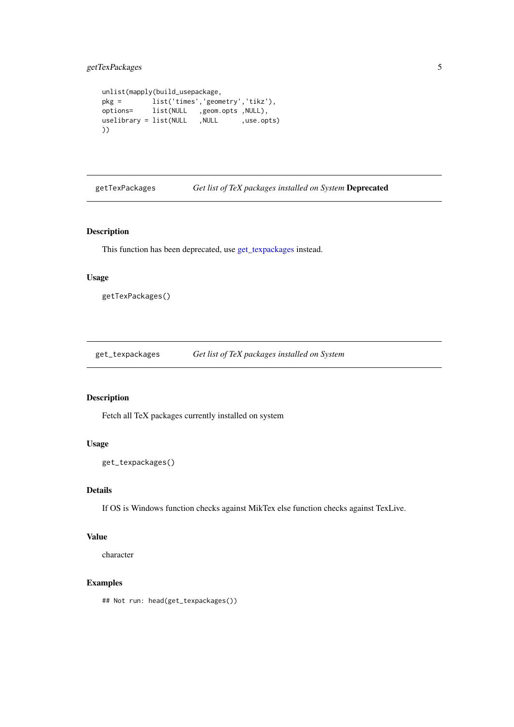# <span id="page-4-0"></span>getTexPackages 5

```
unlist(mapply(build_usepackage,<br>pkg = list('times','geometry','tikz'),
pkg = list('times','geometry','tikz'),
options= list(NULL ,geom.opts ,NULL),
uselibrary = list(NULL ,NULL ,use.opts)
))
```
getTexPackages *Get list of TeX packages installed on System* Deprecated

# Description

This function has been deprecated, use [get\\_texpackages](#page-4-1) instead.

# Usage

getTexPackages()

<span id="page-4-1"></span>get\_texpackages *Get list of TeX packages installed on System*

# Description

Fetch all TeX packages currently installed on system

# Usage

```
get_texpackages()
```
# Details

If OS is Windows function checks against MikTex else function checks against TexLive.

# Value

character

# Examples

## Not run: head(get\_texpackages())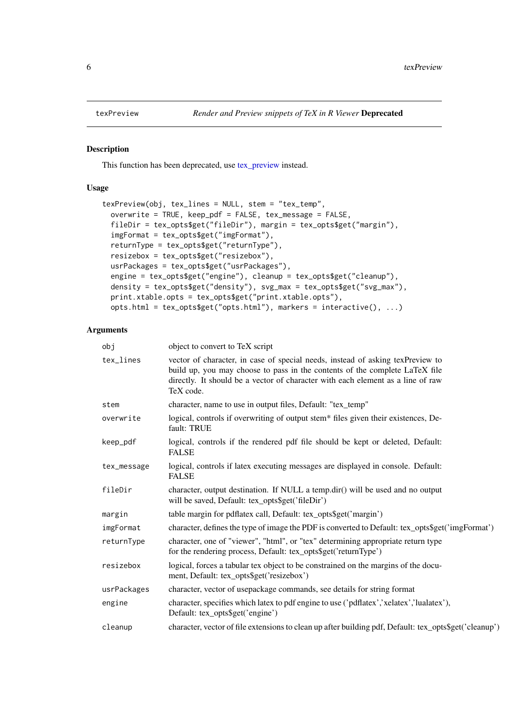<span id="page-5-0"></span>

#### Description

This function has been deprecated, use [tex\\_preview](#page-7-1) instead.

#### Usage

```
texPreview(obj, tex_lines = NULL, stem = "tex_temp",
 overwrite = TRUE, keep_pdf = FALSE, tex_message = FALSE,
 fileDir = tex_opts$get("fileDir"), margin = tex_opts$get("margin"),
  imgFormat = tex_opts$get("imgFormat"),
 returnType = tex_opts$get("returnType"),
 resizebox = tex_opts$get("resizebox"),
 usrPackages = tex_opts$get("usrPackages"),
 engine = tex_opts$get("engine"), cleanup = tex_opts$get("cleanup"),
 density = tex_opts$get("density"), svg_max = tex_opts$get("svg_max"),
 print.xtable.opts = tex_opts$get("print.xtable.opts"),
 opts.html = tex_opts$get("opts.html"), markers = interactive(), ...)
```
#### Arguments

| obj         | object to convert to TeX script                                                                                                                                                                                                                               |
|-------------|---------------------------------------------------------------------------------------------------------------------------------------------------------------------------------------------------------------------------------------------------------------|
| tex_lines   | vector of character, in case of special needs, instead of asking texPreview to<br>build up, you may choose to pass in the contents of the complete LaTeX file<br>directly. It should be a vector of character with each element as a line of raw<br>TeX code. |
| stem        | character, name to use in output files, Default: "tex_temp"                                                                                                                                                                                                   |
| overwrite   | logical, controls if overwriting of output stem* files given their existences, De-<br>fault: TRUE                                                                                                                                                             |
| keep_pdf    | logical, controls if the rendered pdf file should be kept or deleted, Default:<br><b>FALSE</b>                                                                                                                                                                |
| tex_message | logical, controls if latex executing messages are displayed in console. Default:<br><b>FALSE</b>                                                                                                                                                              |
| fileDir     | character, output destination. If NULL a temp.dir() will be used and no output<br>will be saved, Default: tex_opts\$get('fileDir')                                                                                                                            |
| margin      | table margin for pdflatex call, Default: tex_opts\$get('margin')                                                                                                                                                                                              |
| imgFormat   | character, defines the type of image the PDF is converted to Default: tex_opts\$get('imgFormat')                                                                                                                                                              |
| returnType  | character, one of "viewer", "html", or "tex" determining appropriate return type<br>for the rendering process, Default: tex_opts\$get('returnType')                                                                                                           |
| resizebox   | logical, forces a tabular tex object to be constrained on the margins of the docu-<br>ment, Default: tex_opts\$get('resizebox')                                                                                                                               |
| usrPackages | character, vector of usepackage commands, see details for string format                                                                                                                                                                                       |
| engine      | character, specifies which latex to pdf engine to use ('pdflatex', 'xelatex', 'lualatex'),<br>Default: tex_opts\$get('engine')                                                                                                                                |
| cleanup     | character, vector of file extensions to clean up after building pdf, Default: tex_opts\$get('cleanup')                                                                                                                                                        |
|             |                                                                                                                                                                                                                                                               |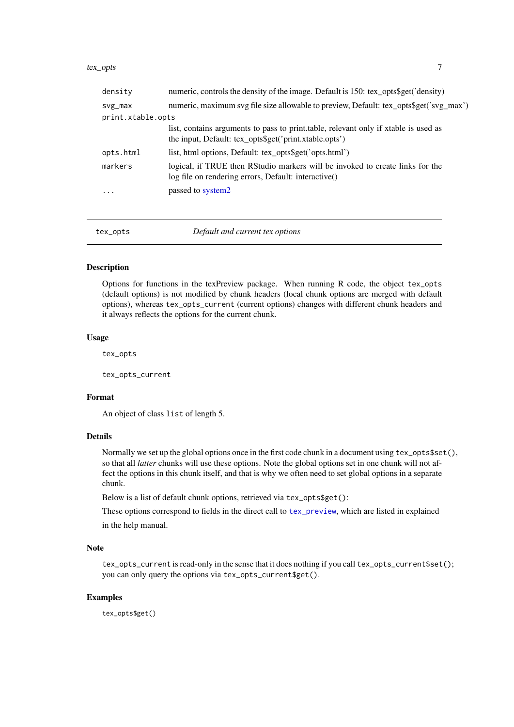<span id="page-6-0"></span>tex\_opts 7

| density           | numeric, controls the density of the image. Default is 150: tex_opts\$get('density)                                                           |
|-------------------|-----------------------------------------------------------------------------------------------------------------------------------------------|
| $svg_max$         | numeric, maximum svg file size allowable to preview, Default: tex_opts\$get('svg_max')                                                        |
| print.xtable.opts |                                                                                                                                               |
|                   | list, contains arguments to pass to print.table, relevant only if xtable is used as<br>the input, Default: tex_opts\$get('print.xtable.opts') |
| opts.html         | list, html options, Default: tex_opts\$get('opts.html')                                                                                       |
| markers           | logical, if TRUE then RStudio markers will be invoked to create links for the<br>log file on rendering errors, Default: interactive()         |
| $\cdot$           | passed to system2                                                                                                                             |
|                   |                                                                                                                                               |
|                   |                                                                                                                                               |

tex\_opts *Default and current tex options*

#### Description

Options for functions in the texPreview package. When running R code, the object tex\_opts (default options) is not modified by chunk headers (local chunk options are merged with default options), whereas tex\_opts\_current (current options) changes with different chunk headers and it always reflects the options for the current chunk.

# Usage

tex\_opts

tex\_opts\_current

#### Format

An object of class list of length 5.

#### Details

Normally we set up the global options once in the first code chunk in a document using tex\_opts\$set(), so that all *latter* chunks will use these options. Note the global options set in one chunk will not affect the options in this chunk itself, and that is why we often need to set global options in a separate chunk.

Below is a list of default chunk options, retrieved via tex\_opts\$get():

These options correspond to fields in the direct call to [tex\\_preview](#page-7-1), which are listed in explained in the help manual.

# Note

tex\_opts\_current is read-only in the sense that it does nothing if you call tex\_opts\_current\$set(); you can only query the options via tex\_opts\_current\$get().

# Examples

tex\_opts\$get()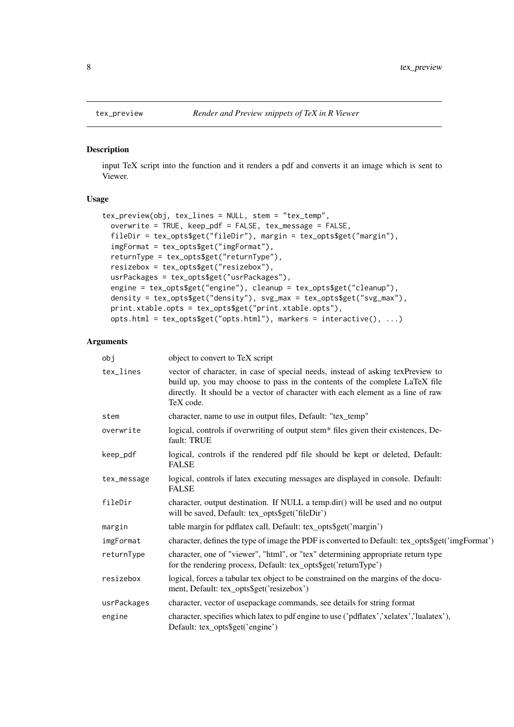# Description

input TeX script into the function and it renders a pdf and converts it an image which is sent to Viewer.

# Usage

```
tex_preview(obj, tex_lines = NULL, stem = "tex_temp",
 overwrite = TRUE, keep_pdf = FALSE, tex_message = FALSE,
 fileDir = tex_opts$get("fileDir"), margin = tex_opts$get("margin"),
 imgFormat = tex_opts$get("imgFormat"),
 returnType = tex_opts$get("returnType"),
 resizebox = tex_opts$get("resizebox"),
 usrPackages = tex_opts$get("usrPackages"),
 engine = tex_opts$get("engine"), cleanup = tex_opts$get("cleanup"),
 density = tex_opts$get("density"), svg_max = tex_opts$get("svg_max"),
 print.xtable.opts = tex_opts$get("print.xtable.opts"),
 opts.html = tex_opts$get("opts.html"), markers = interactive(), ...)
```
#### Arguments

| obj         | object to convert to TeX script                                                                                                                                                                                                                               |
|-------------|---------------------------------------------------------------------------------------------------------------------------------------------------------------------------------------------------------------------------------------------------------------|
| tex_lines   | vector of character, in case of special needs, instead of asking texPreview to<br>build up, you may choose to pass in the contents of the complete LaTeX file<br>directly. It should be a vector of character with each element as a line of raw<br>TeX code. |
| stem        | character, name to use in output files, Default: "tex_temp"                                                                                                                                                                                                   |
| overwrite   | logical, controls if overwriting of output stem* files given their existences, De-<br>fault: TRUE                                                                                                                                                             |
| keep_pdf    | logical, controls if the rendered pdf file should be kept or deleted, Default:<br><b>FALSE</b>                                                                                                                                                                |
| tex_message | logical, controls if latex executing messages are displayed in console. Default:<br><b>FALSE</b>                                                                                                                                                              |
| fileDir     | character, output destination. If NULL a temp.dir() will be used and no output<br>will be saved, Default: tex_opts\$get('fileDir')                                                                                                                            |
| margin      | table margin for pdflatex call, Default: tex_opts\$get('margin')                                                                                                                                                                                              |
| imgFormat   | character, defines the type of image the PDF is converted to Default: tex_opts\$get('imgFormat')                                                                                                                                                              |
| returnType  | character, one of "viewer", "html", or "tex" determining appropriate return type<br>for the rendering process, Default: tex_opts\$get('returnType')                                                                                                           |
| resizebox   | logical, forces a tabular tex object to be constrained on the margins of the docu-<br>ment, Default: tex_opts\$get('resizebox')                                                                                                                               |
| usrPackages | character, vector of usepackage commands, see details for string format                                                                                                                                                                                       |
| engine      | character, specifies which latex to pdf engine to use ('pdflatex', 'xelatex', 'lualatex'),<br>Default: tex_opts\$get('engine')                                                                                                                                |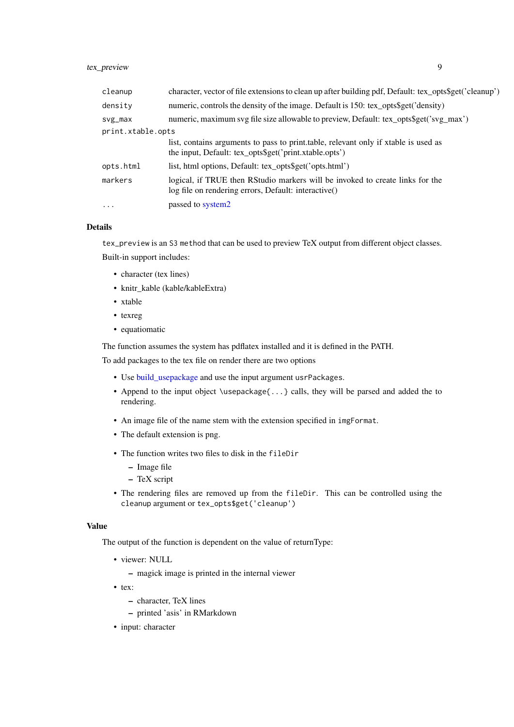# <span id="page-8-0"></span>tex\_preview 9

| cleanup           | character, vector of file extensions to clean up after building pdf, Default: tex_opts\$get('cleanup')                                        |
|-------------------|-----------------------------------------------------------------------------------------------------------------------------------------------|
| density           | numeric, controls the density of the image. Default is 150: tex_opts\$get('density)                                                           |
| svg_max           | numeric, maximum svg file size allowable to preview, Default: tex_opts\$get('svg_max')                                                        |
| print.xtable.opts |                                                                                                                                               |
|                   | list, contains arguments to pass to print.table, relevant only if xtable is used as<br>the input, Default: tex_opts\$get('print.xtable.opts') |
| opts.html         | list, html options, Default: tex_opts\$get('opts.html')                                                                                       |
| markers           | logical, if TRUE then RStudio markers will be invoked to create links for the<br>log file on rendering errors, Default: interactive()         |
| $\ddots$ .        | passed to system2                                                                                                                             |
|                   |                                                                                                                                               |

# Details

tex\_preview is an S3 method that can be used to preview TeX output from different object classes. Built-in support includes:

- character (tex lines)
- knitr\_kable (kable/kableExtra)
- xtable
- texreg
- equatiomatic

The function assumes the system has pdflatex installed and it is defined in the PATH.

To add packages to the tex file on render there are two options

- Use [build\\_usepackage](#page-3-1) and use the input argument usrPackages.
- Append to the input object \usepackage{...} calls, they will be parsed and added the to rendering.
- An image file of the name stem with the extension specified in imgFormat.
- The default extension is png.
- The function writes two files to disk in the fileDir
	- Image file
	- TeX script
- The rendering files are removed up from the fileDir. This can be controlled using the cleanup argument or tex\_opts\$get('cleanup')

#### Value

The output of the function is dependent on the value of returnType:

- viewer: NULL
	- magick image is printed in the internal viewer
- tex:
	- character, TeX lines
	- printed 'asis' in RMarkdown
- input: character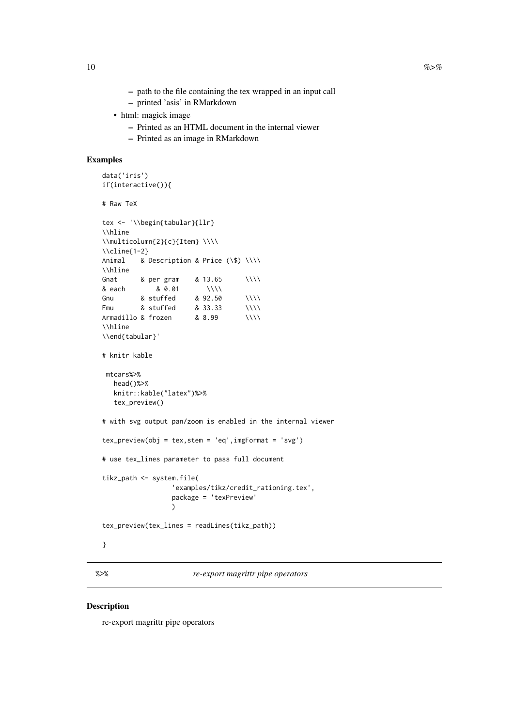- <span id="page-9-0"></span>– path to the file containing the tex wrapped in an input call
- printed 'asis' in RMarkdown
- html: magick image
	- Printed as an HTML document in the internal viewer
	- Printed as an image in RMarkdown

# Examples

```
data('iris')
if(interactive()){
# Raw TeX
tex <- '\\begin{tabular}{llr}
\\hline
\\mathrm{2}{c}{I}tem} \\\\\\cline{1-2}
Animal & Description & Price (\$) \\\\
\\hline
Gnat & per gram 8 13.65 \\\\
& each & 0.01 \\\\
Gnu                & stuffed                      & 92.50 \\\\
Emu \& stuffed \& 33.33 \\\\
Armadillo & frozen & 8.99 \\\\
\\hline
\\end{tabular}'
# knitr kable
mtcars%>%
  head()%>%
  knitr::kable("latex")%>%
  tex_preview()
# with svg output pan/zoom is enabled in the internal viewer
tex_preview(obj = tex,stem = 'eq',imgFormat = 'svg')
# use tex_lines parameter to pass full document
tikz_path <- system.file(
                 'examples/tikz/credit_rationing.tex',
                 package = 'texPreview'
                 \lambdatex_preview(tex_lines = readLines(tikz_path))
}
```
%>% *re-export magrittr pipe operators*

#### Description

re-export magrittr pipe operators